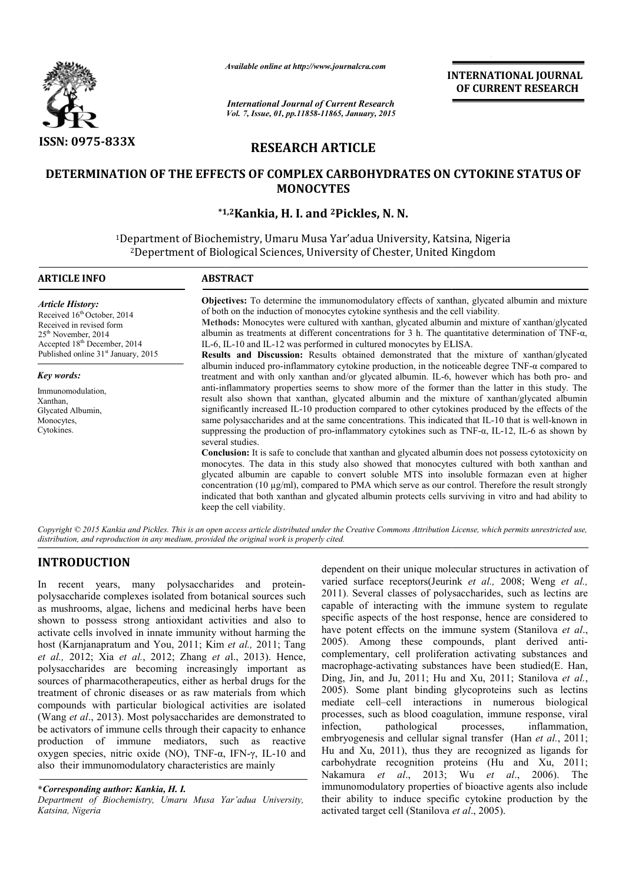

*Available online at http://www.journal http://www.journalcra.com*

*International Journal of Current Research Vol. 7, Issue, 01, pp.11858-11865, January, 2015* **INTERNATIONAL JOURNAL OF CURRENT RESEARCH** 

# **RESEARCH ARTICLE**

# **DETERMINATION OF THE EFFECTS OF COMPLEX CARBOHYDRATES ON CYTOKINE STATUS OF DETERMINATION OF MONOCYTES**

# **\*1,2 \*1,2Kankia, H. I. and 2Pickles, N. N.**

1Department of Biochemistry, Umaru Musa Yar'adua University, Katsina, Nigeria Department of Biochemistry, Umaru Musa Yar'adua University, Katsina, Nige<br><sup>2</sup>Depertment of Biological Sciences, University of Chester, United Kingdom

| <b>ARTICLE INFO</b>                                                                                                                                                                                                              | <b>ABSTRACT</b>                                                                                                                                                                                                                                                                                                                                                                                                                                                                                                                                                                                                                                                                                                                                                                                                                                                                                                                                                                                                                                                                                                                                                                                                                                                                                                                                                                                                                                                                                                                                                                                                                                                                                                                                                                                                                                                                                                       |
|----------------------------------------------------------------------------------------------------------------------------------------------------------------------------------------------------------------------------------|-----------------------------------------------------------------------------------------------------------------------------------------------------------------------------------------------------------------------------------------------------------------------------------------------------------------------------------------------------------------------------------------------------------------------------------------------------------------------------------------------------------------------------------------------------------------------------------------------------------------------------------------------------------------------------------------------------------------------------------------------------------------------------------------------------------------------------------------------------------------------------------------------------------------------------------------------------------------------------------------------------------------------------------------------------------------------------------------------------------------------------------------------------------------------------------------------------------------------------------------------------------------------------------------------------------------------------------------------------------------------------------------------------------------------------------------------------------------------------------------------------------------------------------------------------------------------------------------------------------------------------------------------------------------------------------------------------------------------------------------------------------------------------------------------------------------------------------------------------------------------------------------------------------------------|
| <b>Article History:</b><br>Received 16 <sup>th</sup> October, 2014<br>Received in revised form<br>25 <sup>th</sup> November, 2014<br>Accepted 18 <sup>th</sup> December, 2014<br>Published online 31 <sup>st</sup> January, 2015 | <b>Objectives:</b> To determine the immunomodulatory effects of xanthan, glycated albumin and mixture<br>of both on the induction of monocytes cytokine synthesis and the cell viability.<br>Methods: Monocytes were cultured with xanthan, glycated albumin and mixture of xanthan/glycated<br>albumin as treatments at different concentrations for 3 h. The quantitative determination of TNF- $\alpha$ ,<br>IL-6, IL-10 and IL-12 was performed in cultured monocytes by ELISA.<br><b>Results and Discussion:</b> Results obtained demonstrated that the mixture of xanthan/glycated<br>albumin induced pro-inflammatory cytokine production, in the noticeable degree $TNF-\alpha$ compared to<br>treatment and with only xanthan and/or glycated albumin. IL-6, however which has both pro- and<br>anti-inflammatory properties seems to show more of the former than the latter in this study. The<br>result also shown that xanthan, glycated albumin and the mixture of xanthan/glycated albumin<br>significantly increased IL-10 production compared to other cytokines produced by the effects of the<br>same polysaccharides and at the same concentrations. This indicated that IL-10 that is well-known in<br>suppressing the production of pro-inflammatory cytokines such as $TNF-\alpha$ , IL-12, IL-6 as shown by<br>several studies.<br><b>Conclusion:</b> It is safe to conclude that xanthan and glycated albumin does not possess cytotoxicity on<br>monocytes. The data in this study also showed that monocytes cultured with both xanthan and<br>glycated albumin are capable to convert soluble MTS into insoluble formazan even at higher<br>concentration (10 $\mu$ g/ml), compared to PMA which serve as our control. Therefore the result strongly<br>indicated that both xanthan and glycated albumin protects cells surviving in vitro and had ability to<br>keep the cell viability. |
| Key words:                                                                                                                                                                                                                       |                                                                                                                                                                                                                                                                                                                                                                                                                                                                                                                                                                                                                                                                                                                                                                                                                                                                                                                                                                                                                                                                                                                                                                                                                                                                                                                                                                                                                                                                                                                                                                                                                                                                                                                                                                                                                                                                                                                       |
| Immunomodulation,<br>Xanthan,<br>Glycated Albumin,<br>Monocytes,<br>Cytokines.                                                                                                                                                   |                                                                                                                                                                                                                                                                                                                                                                                                                                                                                                                                                                                                                                                                                                                                                                                                                                                                                                                                                                                                                                                                                                                                                                                                                                                                                                                                                                                                                                                                                                                                                                                                                                                                                                                                                                                                                                                                                                                       |
|                                                                                                                                                                                                                                  | Copyright © 2015 Kankia and Pickles. This is an open access article distributed under the Creative Commons Attribution License, which permits unrestricted use,<br>distribution, and reproduction in any medium, provided the original work is properly cited.                                                                                                                                                                                                                                                                                                                                                                                                                                                                                                                                                                                                                                                                                                                                                                                                                                                                                                                                                                                                                                                                                                                                                                                                                                                                                                                                                                                                                                                                                                                                                                                                                                                        |

# **INTRODUCTION**

In recent years, many polysaccharides and proteinpolysaccharide complexes isolated from botanical sources such as mushrooms, algae, lichens and medicinal herbs have been shown to possess strong antioxidant activities and also to activate cells involved in innate immunity without harming the host (Karnjanapratum and You, 2011; Kim *et al.,* 2011; Tang *et al.,* 2012; Xia *et al.*, 2012; Zhang *et a* l., 2013). Hence, polysaccharides are becoming increasingly important as sources of pharmacotherapeutics, either as herbal drugs for the treatment of chronic diseases or as raw materials from which compounds with particular biological activities are isolated (Wang *et al*., 2013). Most polysaccharides are demonstrated to be activators of immune cells through their capacity to enhance production of immune mediators, such as reactive oxygen species, nitric oxide (NO), TNF-α, IFN α, IFN-γ, IL-10 and also their immunomodulatory characteristics are mainly

## **\****Corresponding author: Kankia, H. I.*

*Department of Biochemistry, Umaru Musa Yar'adua University, Katsina, Nigeria*

dependent on their unique molecular structures in activation of dependent on their unique molecular structures in activation of varied surface receptors(Jeurink *et al.,* 2008; Weng *et al.,* 2011). Several classes of polysaccharides, such as lectins are capable of interacting with the immune system to regulate specific aspects of the host response, hence are considered to have potent effects on the immune system (Stanilova et al., 2005). Among these compounds, plant derived anticomplementary, cell proliferation activating substances and complementary, cell proliferation activating substances and macrophage-activating substances have been studied(E. Han, Ding, Jin, and Ju, 2011; Hu and Xu, 2011; Stanilova *et al.*, 2005). Some plant binding glycoproteins such as lectins mediate cell–cell interactions in numerous biological processes, such as blood coagulation, immune response, infection, pathological processes, embryogenesis and cellular signal transfer (Han *et al.*, 2011; Hu and Xu, 2011), thus they are recognized as ligands for carbohydrate recognition proteins (Hu and Xu, 2011; Nakamura *et al.*, 2013; Wu *et al.*, 2006). The immunomodulatory properties of bioactive agents also include immunomodulatory properties of bioactive agents also include their ability to induce specific cytokine production by the activated target cell (Stanilova *et al*., 2005). 2011). Several classes of polysaccharides, such as lectins are capable of interacting with the immune system to regulate specific aspects of the host response, hence are considered to have potent effects on the immune syst . Some plant binding glycoproteins such as lectins the cell-cell interactions in numerous biological sses, such as blood coagulation, immune response, viral , inflammation,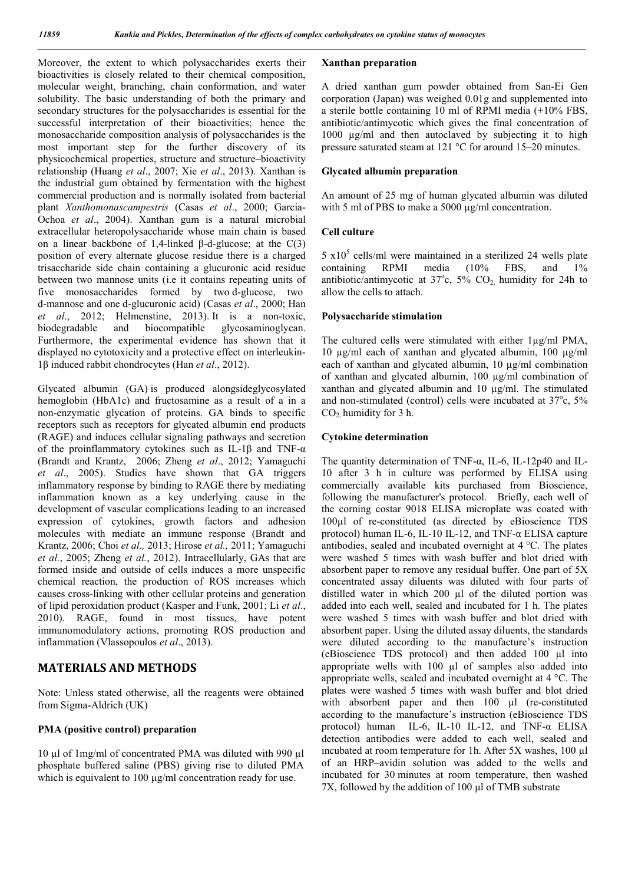Moreover, the extent to which polysaccharides exerts their bioactivities is closely related to their chemical composition, molecular weight, branching, chain conformation, and water solubility. The basic understanding of both the primary and secondary structures for the polysaccharides is essential for the successful interpretation of their bioactivities; hence the monosaccharide composition analysis of polysaccharides is the most important step for the further discovery of its physicochemical properties, structure and structure–bioactivity relationship (Huang *et al*., 2007; Xie *et al*., 2013). Xanthan is the industrial gum obtained by fermentation with the highest commercial production and is normally isolated from bacterial plant *Xanthomonascampestris* (Casas *et al*., 2000; Garcia-Ochoa *et al*., 2004). Xanthan gum is a natural microbial extracellular heteropolysaccharide whose main chain is based on a linear backbone of 1,4-linked β-d-glucose; at the  $C(3)$ position of every alternate glucose residue there is a charged trisaccharide side chain containing a glucuronic acid residue between two mannose units (i.e it contains repeating units of five monosaccharides formed by two d-glucose, two d-mannose and one d-glucuronic acid) (Casas *et al*., 2000; Han *et al*., 2012; Helmenstine, 2013). It is a non-toxic, biocompatible glycosaminoglycan. Furthermore, the experimental evidence has shown that it displayed no cytotoxicity and a protective effect on interleukin-1β induced rabbit chondrocytes (Han *et al*., 2012).

Glycated albumin (GA) is produced alongsideglycosylated hemoglobin (HbA1c) and fructosamine as a result of a in a non-enzymatic glycation of proteins. GA binds to specific receptors such as receptors for glycated albumin end products (RAGE) and induces cellular signaling pathways and secretion of the proinflammatory cytokines such as IL-1β and TNF-α (Brandt and Krantz, 2006; Zheng *et al*., 2012; Yamaguchi *et al*., 2005). Studies have shown that GA triggers inflammatory response by binding to RAGE there by mediating inflammation known as a key underlying cause in the development of vascular complications leading to an increased expression of cytokines, growth factors and adhesion molecules with mediate an immune response (Brandt and Krantz, 2006; Choi *et al.,* 2013; Hirose *et al.,* 2011; Yamaguchi *et al.*, 2005; Zheng *et al.*, 2012). Intracellularly, GAs that are formed inside and outside of cells induces a more unspecific chemical reaction, the production of ROS increases which causes cross-linking with other cellular proteins and generation of lipid peroxidation product (Kasper and Funk, 2001; Li *et al*., 2010). RAGE, found in most tissues, have potent immunomodulatory actions, promoting ROS production and inflammation (Vlassopoulos *et al*., 2013).

## **MATERIALS AND METHODS**

Note: Unless stated otherwise, all the reagents were obtained from Sigma-Aldrich (UK)

### **PMA (positive control) preparation**

10 µl of 1mg/ml of concentrated PMA was diluted with 990 µl phosphate buffered saline (PBS) giving rise to diluted PMA which is equivalent to 100  $\mu$ g/ml concentration ready for use.

## **Xanthan preparation**

A dried xanthan gum powder obtained from San-Ei Gen corporation (Japan) was weighed 0.01g and supplemented into a sterile bottle containing 10 ml of RPMI media (+10% FBS, antibiotic/antimycotic which gives the final concentration of 1000 µg/ml and then autoclaved by subjecting it to high pressure saturated steam at 121 °C for around 15–20 minutes.

## **Glycated albumin preparation**

An amount of 25 mg of human glycated albumin was diluted with 5 ml of PBS to make a 5000  $\mu$ g/ml concentration.

#### **Cell culture**

 $5 \times 10^5$  cells/ml were maintained in a sterilized 24 wells plate containing RPMI media (10% FBS, and 1% antibiotic/antimycotic at  $37^{\circ}$ c,  $5\%$  CO<sub>2</sub>, humidity for 24h to allow the cells to attach.

## **Polysaccharide stimulation**

The cultured cells were stimulated with either 1µg/ml PMA, 10 µg/ml each of xanthan and glycated albumin, 100 µg/ml each of xanthan and glycated albumin, 10 µg/ml combination of xanthan and glycated albumin, 100 µg/ml combination of xanthan and glycated albumin and 10 µg/ml. The stimulated and non-stimulated (control) cells were incubated at  $37^{\circ}$ c,  $5\%$  $CO<sub>2</sub>$  humidity for 3 h.

### **Cytokine determination**

The quantity determination of TNF-α, IL-6, IL-12p40 and IL-10 after 3 h in culture was performed by ELISA using commercially available kits purchased from Bioscience, following the manufacturer's protocol. Briefly, each well of the corning costar 9018 ELISA microplate was coated with 100µl of re-constituted (as directed by eBioscience TDS protocol) human IL-6, IL-10 IL-12, and TNF- $\alpha$  ELISA capture antibodies, sealed and incubated overnight at 4 °C. The plates were washed 5 times with wash buffer and blot dried with absorbent paper to remove any residual buffer. One part of 5X concentrated assay diluents was diluted with four parts of distilled water in which 200 µl of the diluted portion was added into each well, sealed and incubated for 1 h. The plates were washed 5 times with wash buffer and blot dried with absorbent paper. Using the diluted assay diluents, the standards were diluted according to the manufacture's instruction (eBioscience TDS protocol) and then added 100 µl into appropriate wells with 100 µl of samples also added into appropriate wells, sealed and incubated overnight at 4 °C. The plates were washed 5 times with wash buffer and blot dried with absorbent paper and then 100 µl (re-constituted according to the manufacture's instruction (eBioscience TDS protocol) human IL-6, IL-10 IL-12, and TNF-α ELISA detection antibodies were added to each well, sealed and incubated at room temperature for 1h. After 5X washes, 100 µl of an HRP–avidin solution was added to the wells and incubated for 30 minutes at room temperature, then washed 7X, followed by the addition of 100 μl of TMB substrate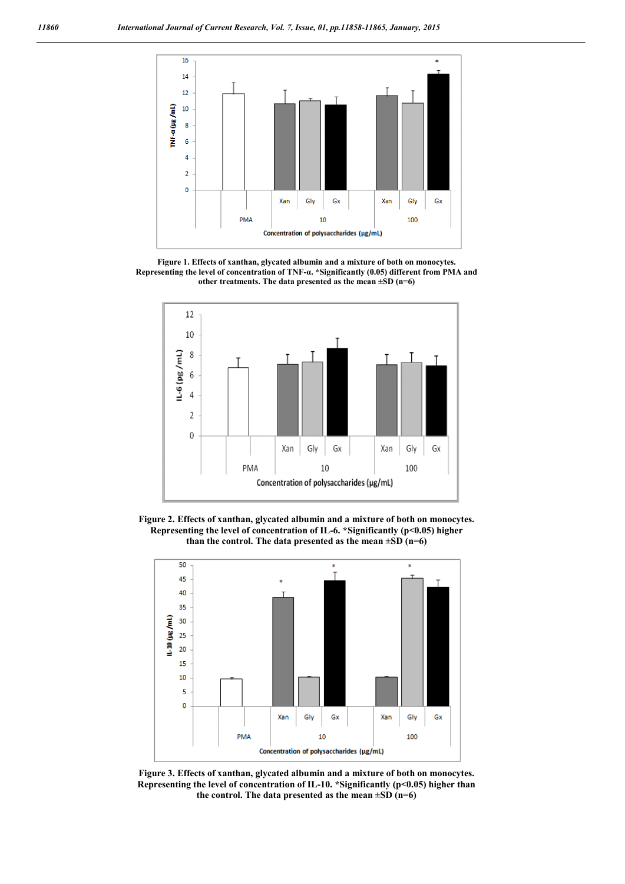

**Figure 1. Effects of xanthan, glycated albumin and a mixture of both on monocytes. Representing the level of concentration of TNF-α. \*Significantly (0.05) different from PMA and other treatments. The data presented as the mean ±SD (n=6)**



**Figure 2. Effects of xanthan, glycated albumin and a mixture of both on monocytes. Representing the level of concentration of IL-6. \*Significantly (p<0.05) higher than the control. The data presented as the mean ±SD (n=6)**



**Figure 3. Effects of xanthan, glycated albumin and a mixture of both on monocytes. Representing the level of concentration of IL-10. \*Significantly (p<0.05) higher than the control. The data presented as the mean ±SD (n=6)**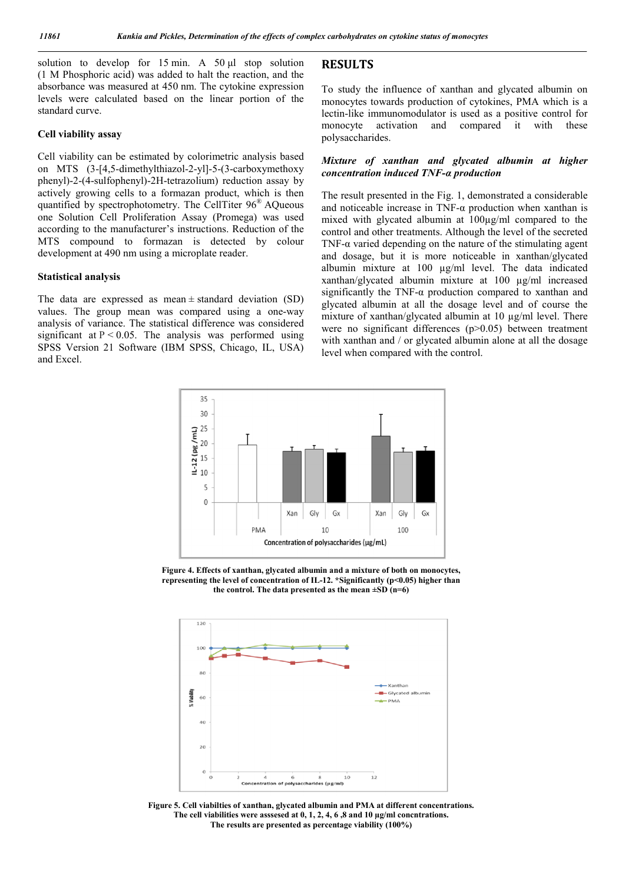solution to develop for 15 min. A 50 μl stop solution (1 M Phosphoric acid) was added to halt the reaction, and the absorbance was measured at 450 nm. The cytokine expression levels were calculated based on the linear portion of the standard curve.

#### **Cell viability assay**

Cell viability can be estimated by colorimetric analysis based on MTS (3-[4,5-dimethylthiazol-2-yl]-5-(3-carboxymethoxy phenyl)-2-(4-sulfophenyl)-2H-tetrazolium) reduction assay by actively growing cells to a formazan product, which is then quantified by spectrophotometry. The CellTiter 96® AQueous one Solution Cell Proliferation Assay (Promega) was used according to the manufacturer's instructions. Reduction of the MTS compound to formazan is detected by colour development at 490 nm using a microplate reader.

#### **Statistical analysis**

The data are expressed as mean  $\pm$  standard deviation (SD) values. The group mean was compared using a one-way analysis of variance. The statistical difference was considered significant at  $P < 0.05$ . The analysis was performed using SPSS Version 21 Software (IBM SPSS, Chicago, IL, USA) and Excel.

## **RESULTS**

To study the influence of xanthan and glycated albumin on monocytes towards production of cytokines, PMA which is a lectin-like immunomodulator is used as a positive control for monocyte activation and compared it with these polysaccharides.

### *Mixture of xanthan and glycated albumin at higher concentration induced TNF-α production*

The result presented in the Fig. 1, demonstrated a considerable and noticeable increase in TNF- $\alpha$  production when xanthan is mixed with glycated albumin at 100µg/ml compared to the control and other treatments. Although the level of the secreted TNF- $\alpha$  varied depending on the nature of the stimulating agent and dosage, but it is more noticeable in xanthan/glycated albumin mixture at 100 µg/ml level. The data indicated xanthan/glycated albumin mixture at 100 µg/ml increased significantly the TNF-α production compared to xanthan and glycated albumin at all the dosage level and of course the mixture of xanthan/glycated albumin at 10 µg/ml level. There were no significant differences (p>0.05) between treatment with xanthan and / or glycated albumin alone at all the dosage level when compared with the control.



**Figure 4. Effects of xanthan, glycated albumin and a mixture of both on monocytes, representing the level of concentration of IL-12. \*Significantly (p<0.05) higher than the control. The data presented as the mean ±SD (n=6)**



**Figure 5. Cell viabilties of xanthan, glycated albumin and PMA at different concentrations. The cell viabilities were asssesed at 0, 1, 2, 4, 6 ,8 and 10 µg/ml concntrations. The results are presented as percentage viability (100%)**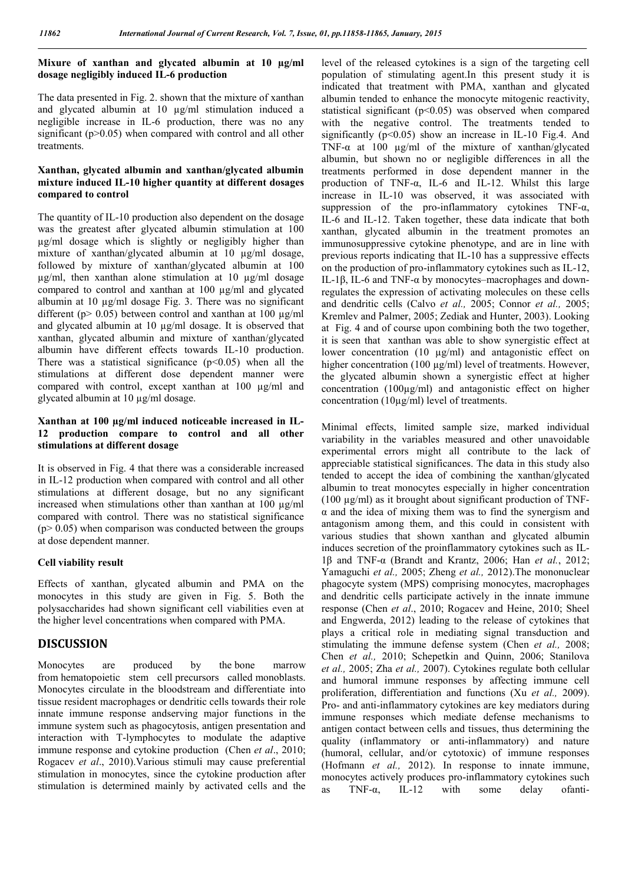# **Mixure of xanthan and glycated albumin at 10 µg/ml dosage negligibly induced IL-6 production**

The data presented in Fig. 2. shown that the mixture of xanthan and glycated albumin at 10 µg/ml stimulation induced a negligible increase in IL-6 production, there was no any significant  $(p>0.05)$  when compared with control and all other treatments.

## **Xanthan, glycated albumin and xanthan/glycated albumin mixture induced IL-10 higher quantity at different dosages compared to control**

The quantity of IL-10 production also dependent on the dosage was the greatest after glycated albumin stimulation at 100 µg/ml dosage which is slightly or negligibly higher than mixture of xanthan/glycated albumin at 10  $\mu$ g/ml dosage, followed by mixture of xanthan/glycated albumin at 100  $\mu$ g/ml, then xanthan alone stimulation at 10  $\mu$ g/ml dosage compared to control and xanthan at 100 µg/ml and glycated albumin at 10 µg/ml dosage Fig. 3. There was no significant different ( $p > 0.05$ ) between control and xanthan at 100  $\mu$ g/ml and glycated albumin at 10 µg/ml dosage. It is observed that xanthan, glycated albumin and mixture of xanthan/glycated albumin have different effects towards IL-10 production. There was a statistical significance  $(p<0.05)$  when all the stimulations at different dose dependent manner were compared with control, except xanthan at 100 µg/ml and glycated albumin at 10 µg/ml dosage.

# **Xanthan at 100 µg/ml induced noticeable increased in IL-12 production compare to control and all other stimulations at different dosage**

It is observed in Fig. 4 that there was a considerable increased in IL-12 production when compared with control and all other stimulations at different dosage, but no any significant increased when stimulations other than xanthan at 100 µg/ml compared with control. There was no statistical significance  $(p > 0.05)$  when comparison was conducted between the groups at dose dependent manner.

### **Cell viability result**

Effects of xanthan, glycated albumin and PMA on the monocytes in this study are given in Fig. 5. Both the polysaccharides had shown significant cell viabilities even at the higher level concentrations when compared with PMA.

# **DISCUSSION**

Monocytes are produced by the bone marrow from hematopoietic stem cell precursors called monoblasts. Monocytes circulate in the bloodstream and differentiate into tissue resident macrophages or dendritic cells towards their role innate immune response andserving major functions in the immune system such as phagocytosis, antigen presentation and interaction with T-lymphocytes to modulate the adaptive immune response and cytokine production (Chen *et al*., 2010; Rogacev *et al*., 2010).Various stimuli may cause preferential stimulation in monocytes, since the cytokine production after stimulation is determined mainly by activated cells and the

level of the released cytokines is a sign of the targeting cell population of stimulating agent.In this present study it is indicated that treatment with PMA, xanthan and glycated albumin tended to enhance the monocyte mitogenic reactivity, statistical significant (p<0.05) was observed when compared with the negative control. The treatments tended to significantly  $(p<0.05)$  show an increase in IL-10 Fig.4. And TNF- $\alpha$  at 100 ug/ml of the mixture of xanthan/glycated albumin, but shown no or negligible differences in all the treatments performed in dose dependent manner in the production of TNF-α, IL-6 and IL-12. Whilst this large increase in IL-10 was observed, it was associated with suppression of the pro-inflammatory cytokines TNF-α, IL-6 and IL-12. Taken together, these data indicate that both xanthan, glycated albumin in the treatment promotes an immunosuppressive cytokine phenotype, and are in line with previous reports indicating that IL-10 has a suppressive effects on the production of pro-inflammatory cytokines such as IL-12, IL-1β, IL-6 and TNF-α by monocytes–macrophages and downregulates the expression of activating molecules on these cells and dendritic cells (Calvo *et al.,* 2005; Connor *et al.,* 2005; Kremlev and Palmer, 2005; Zediak and Hunter, 2003). Looking at Fig. 4 and of course upon combining both the two together, it is seen that xanthan was able to show synergistic effect at lower concentration (10 µg/ml) and antagonistic effect on higher concentration (100  $\mu$ g/ml) level of treatments. However, the glycated albumin shown a synergistic effect at higher concentration (100µg/ml) and antagonistic effect on higher concentration (10µg/ml) level of treatments.

Minimal effects, limited sample size, marked individual variability in the variables measured and other unavoidable experimental errors might all contribute to the lack of appreciable statistical significances. The data in this study also tended to accept the idea of combining the xanthan/glycated albumin to treat monocytes especially in higher concentration (100 µg/ml) as it brought about significant production of TNF- $\alpha$  and the idea of mixing them was to find the synergism and antagonism among them, and this could in consistent with various studies that shown xanthan and glycated albumin induces secretion of the proinflammatory cytokines such as IL-1β and TNF-α (Brandt and Krantz, 2006; Han *et al.*, 2012; Yamaguchi *et al.,* 2005; Zheng *et al.,* 2012).The mononuclear phagocyte system (MPS) comprising monocytes, macrophages and dendritic cells participate actively in the innate immune response (Chen *et al*., 2010; Rogacev and Heine, 2010; Sheel and Engwerda, 2012) leading to the release of cytokines that plays a critical role in mediating signal transduction and stimulating the immune defense system (Chen *et al.,* 2008; Chen *et al.,* 2010; Schepetkin and Quinn, 2006; Stanilova *et al.,* 2005; Zha *et al.,* 2007). Cytokines regulate both cellular and humoral immune responses by affecting immune cell proliferation, differentiation and functions (Xu *et al.,* 2009). Pro- and anti-inflammatory cytokines are key mediators during immune responses which mediate defense mechanisms to antigen contact between cells and tissues, thus determining the quality (inflammatory or anti-inflammatory) and nature (humoral, cellular, and/or cytotoxic) of immune responses (Hofmann *et al.,* 2012). In response to innate immune, monocytes actively produces pro-inflammatory cytokines such as TNF-α, IL-12 with some delay ofanti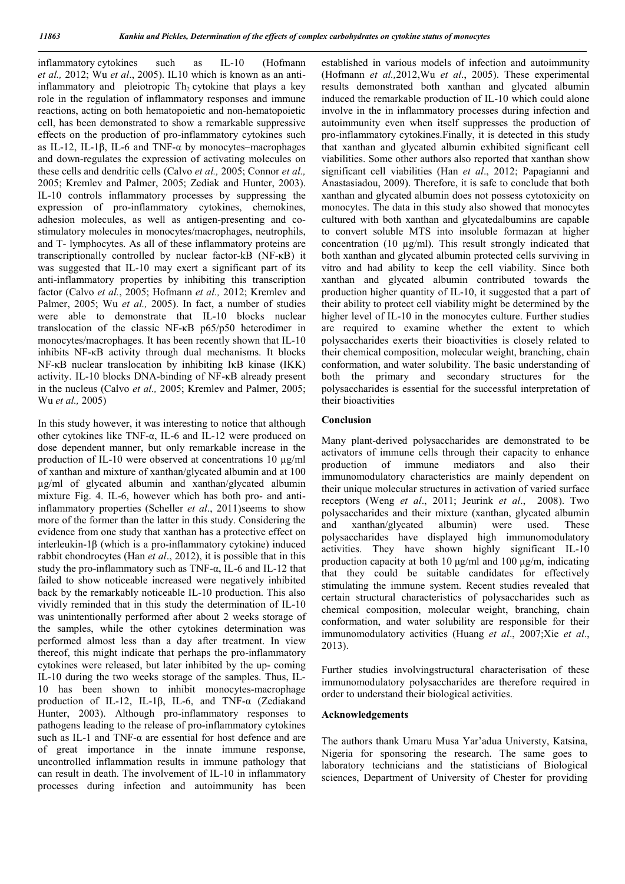inflammatory cytokines such as IL-10 (Hofmann *et al.,* 2012; Wu *et al*., 2005). IL10 which is known as an antiinflammatory and pleiotropic  $Th_2$  cytokine that plays a key role in the regulation of inflammatory responses and immune reactions, acting on both hematopoietic and non-hematopoietic cell, has been demonstrated to show a remarkable suppressive effects on the production of pro-inflammatory cytokines such as IL-12, IL-1β, IL-6 and TNF-α by monocytes–macrophages and down-regulates the expression of activating molecules on these cells and dendritic cells (Calvo *et al.,* 2005; Connor *et al.,*  2005; Kremlev and Palmer, 2005; Zediak and Hunter, 2003). IL-10 controls inflammatory processes by suppressing the expression of pro-inflammatory cytokines, chemokines, adhesion molecules, as well as antigen-presenting and costimulatory molecules in monocytes/macrophages, neutrophils, and T- lymphocytes. As all of these inflammatory proteins are transcriptionally controlled by nuclear factor-kB (NF-κB) it was suggested that IL-10 may exert a significant part of its anti-inflammatory properties by inhibiting this transcription factor (Calvo *et al.*, 2005; Hofmann *et al.,* 2012; Kremlev and Palmer, 2005; Wu *et al.,* 2005). In fact, a number of studies were able to demonstrate that IL-10 blocks nuclear translocation of the classic NF-κB p65/p50 heterodimer in monocytes/macrophages. It has been recently shown that IL-10 inhibits NF-κB activity through dual mechanisms. It blocks NF-κB nuclear translocation by inhibiting IκB kinase (IKK) activity. IL-10 blocks DNA-binding of NF-κB already present in the nucleus (Calvo *et al.,* 2005; Kremlev and Palmer, 2005; Wu *et al.,* 2005)

In this study however, it was interesting to notice that although other cytokines like TNF-α, IL-6 and IL-12 were produced on dose dependent manner, but only remarkable increase in the production of IL-10 were observed at concentrations 10 µg/ml of xanthan and mixture of xanthan/glycated albumin and at 100 µg/ml of glycated albumin and xanthan/glycated albumin mixture Fig. 4. IL-6, however which has both pro- and antiinflammatory properties (Scheller *et al*., 2011)seems to show more of the former than the latter in this study. Considering the evidence from one study that xanthan has a protective effect on interleukin-1β (which is a pro-inflammatory cytokine) induced rabbit chondrocytes (Han *et al*., 2012), it is possible that in this study the pro-inflammatory such as TNF- $\alpha$ , IL-6 and IL-12 that failed to show noticeable increased were negatively inhibited back by the remarkably noticeable IL-10 production. This also vividly reminded that in this study the determination of IL-10 was unintentionally performed after about 2 weeks storage of the samples, while the other cytokines determination was performed almost less than a day after treatment. In view thereof, this might indicate that perhaps the pro-inflammatory cytokines were released, but later inhibited by the up- coming IL-10 during the two weeks storage of the samples. Thus, IL-10 has been shown to inhibit monocytes-macrophage production of IL-12, IL-1β, IL-6, and TNF-α (Zediakand Hunter, 2003). Although pro-inflammatory responses to pathogens leading to the release of pro-inflammatory cytokines such as IL-1 and TNF-α are essential for host defence and are of great importance in the innate immune response, uncontrolled inflammation results in immune pathology that can result in death. The involvement of IL-10 in inflammatory processes during infection and autoimmunity has been

established in various models of infection and autoimmunity (Hofmann *et al.,*2012,Wu *et al*., 2005). These experimental results demonstrated both xanthan and glycated albumin induced the remarkable production of IL-10 which could alone involve in the in inflammatory processes during infection and autoimmunity even when itself suppresses the production of pro-inflammatory cytokines.Finally, it is detected in this study that xanthan and glycated albumin exhibited significant cell viabilities. Some other authors also reported that xanthan show significant cell viabilities (Han *et al*., 2012; Papagianni and Anastasiadou, 2009). Therefore, it is safe to conclude that both xanthan and glycated albumin does not possess cytotoxicity on monocytes. The data in this study also showed that monocytes cultured with both xanthan and glycatedalbumins are capable to convert soluble MTS into insoluble formazan at higher concentration (10 µg/ml). This result strongly indicated that both xanthan and glycated albumin protected cells surviving in vitro and had ability to keep the cell viability. Since both xanthan and glycated albumin contributed towards the production higher quantity of IL-10, it suggested that a part of their ability to protect cell viability might be determined by the higher level of IL-10 in the monocytes culture. Further studies are required to examine whether the extent to which polysaccharides exerts their bioactivities is closely related to their chemical composition, molecular weight, branching, chain conformation, and water solubility. The basic understanding of both the primary and secondary structures for the polysaccharides is essential for the successful interpretation of their bioactivities

## **Conclusion**

Many plant-derived polysaccharides are demonstrated to be activators of immune cells through their capacity to enhance production of immune mediators and also their immunomodulatory characteristics are mainly dependent on their unique molecular structures in activation of varied surface receptors (Weng *et al*., 2011; Jeurink *et al*., 2008). Two polysaccharides and their mixture (xanthan, glycated albumin and xanthan/glycated albumin) were used. These polysaccharides have displayed high immunomodulatory activities. They have shown highly significant IL-10 production capacity at both 10  $\mu$ g/ml and 100  $\mu$ g/m, indicating that they could be suitable candidates for effectively stimulating the immune system. Recent studies revealed that certain structural characteristics of polysaccharides such as chemical composition, molecular weight, branching, chain conformation, and water solubility are responsible for their immunomodulatory activities (Huang *et al*., 2007;Xie *et al*., 2013).

Further studies involvingstructural characterisation of these immunomodulatory polysaccharides are therefore required in order to understand their biological activities.

### **Acknowledgements**

The authors thank Umaru Musa Yar'adua Universty, Katsina, Nigeria for sponsoring the research. The same goes to laboratory technicians and the statisticians of Biological sciences, Department of University of Chester for providing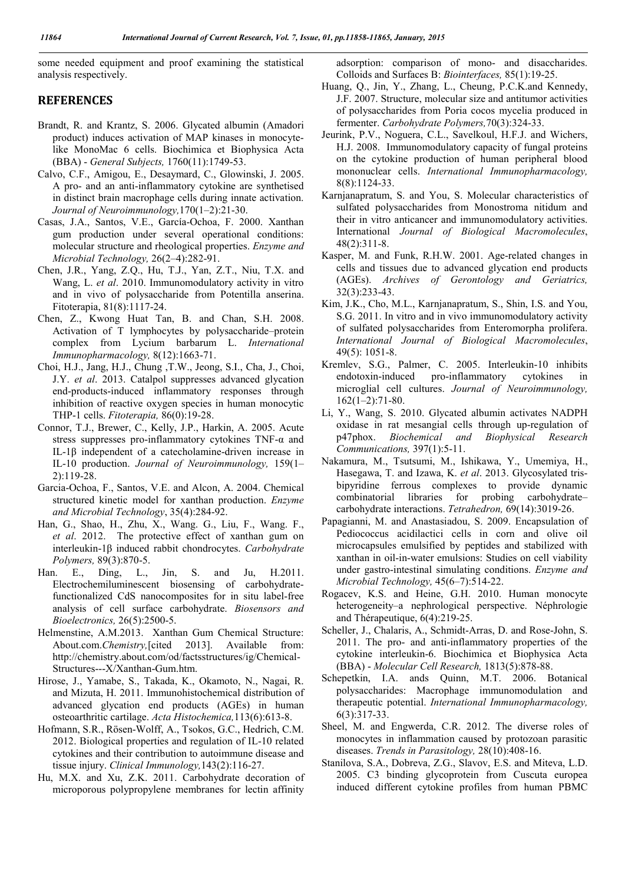some needed equipment and proof examining the statistical analysis respectively.

# **REFERENCES**

- Brandt, R. and Krantz, S. 2006. Glycated albumin (Amadori product) induces activation of MAP kinases in monocytelike MonoMac 6 cells. Biochimica et Biophysica Acta (BBA) - *General Subjects,* 1760(11):1749-53.
- Calvo, C.F., Amigou, E., Desaymard, C., Glowinski, J. 2005. A pro- and an anti-inflammatory cytokine are synthetised in distinct brain macrophage cells during innate activation. *Journal of Neuroimmunology,*170(1–2):21-30.
- Casas, J.A., Santos, V.E., García-Ochoa, F. 2000. Xanthan gum production under several operational conditions: molecular structure and rheological properties. *Enzyme and Microbial Technology,* 26(2–4):282-91.
- Chen, J.R., Yang, Z.Q., Hu, T.J., Yan, Z.T., Niu, T.X. and Wang, L. *et al*. 2010. Immunomodulatory activity in vitro and in vivo of polysaccharide from Potentilla anserina. Fitoterapia, 81(8):1117-24.
- Chen, Z., Kwong Huat Tan, B. and Chan, S.H. 2008. Activation of T lymphocytes by polysaccharide–protein complex from Lycium barbarum L. *International Immunopharmacology,* 8(12):1663-71.
- Choi, H.J., Jang, H.J., Chung ,T.W., Jeong, S.I., Cha, J., Choi, J.Y. *et al*. 2013. Catalpol suppresses advanced glycation end-products-induced inflammatory responses through inhibition of reactive oxygen species in human monocytic THP-1 cells. *Fitoterapia,* 86(0):19-28.
- Connor, T.J., Brewer, C., Kelly, J.P., Harkin, A. 2005. Acute stress suppresses pro-inflammatory cytokines TNF-α and IL-1β independent of a catecholamine-driven increase in IL-10 production. *Journal of Neuroimmunology,* 159(1– 2):119-28.
- Garcia-Ochoa, F., Santos, V.E. and Alcon, A. 2004. Chemical structured kinetic model for xanthan production. *Enzyme and Microbial Technology*, 35(4):284-92.
- Han, G., Shao, H., Zhu, X., Wang. G., Liu, F., Wang. F., *et al*. 2012. The protective effect of xanthan gum on interleukin-1β induced rabbit chondrocytes. *Carbohydrate Polymers,* 89(3):870-5.
- Han. E., Ding, L., Jin, S. and Ju, H.2011. Electrochemiluminescent biosensing of carbohydratefunctionalized CdS nanocomposites for in situ label-free analysis of cell surface carbohydrate. *Biosensors and Bioelectronics,* 26(5):2500-5.
- Helmenstine, A.M.2013. Xanthan Gum Chemical Structure: About.com.*Chemistry,*[cited 2013]. Available from: http://chemistry.about.com/od/factsstructures/ig/Chemical-Structures---X/Xanthan-Gum.htm.
- Hirose, J., Yamabe, S., Takada, K., Okamoto, N., Nagai, R. and Mizuta, H. 2011. Immunohistochemical distribution of advanced glycation end products (AGEs) in human osteoarthritic cartilage. *Acta Histochemica,*113(6):613-8.
- Hofmann, S.R., Rösen-Wolff, A., Tsokos, G.C., Hedrich, C.M. 2012. Biological properties and regulation of IL-10 related cytokines and their contribution to autoimmune disease and tissue injury. *Clinical Immunology,*143(2):116-27.
- Hu, M.X. and Xu, Z.K. 2011. Carbohydrate decoration of microporous polypropylene membranes for lectin affinity

adsorption: comparison of mono- and disaccharides. Colloids and Surfaces B: *Biointerfaces,* 85(1):19-25.

- Huang, Q., Jin, Y., Zhang, L., Cheung, P.C.K.and Kennedy, J.F. 2007. Structure, molecular size and antitumor activities of polysaccharides from Poria cocos mycelia produced in fermenter. *Carbohydrate Polymers,*70(3):324-33.
- Jeurink, P.V., Noguera, C.L., Savelkoul, H.F.J. and Wichers, H.J. 2008. Immunomodulatory capacity of fungal proteins on the cytokine production of human peripheral blood mononuclear cells. *International Immunopharmacology,*  8(8):1124-33.
- Karnjanapratum, S. and You, S. Molecular characteristics of sulfated polysaccharides from Monostroma nitidum and their in vitro anticancer and immunomodulatory activities. International *Journal of Biological Macromolecules*, 48(2):311-8.
- Kasper, M. and Funk, R.H.W. 2001. Age-related changes in cells and tissues due to advanced glycation end products (AGEs). *Archives of Gerontology and Geriatrics,* 32(3):233-43.
- Kim, J.K., Cho, M.L., Karnjanapratum, S., Shin, I.S. and You, S.G. 2011. In vitro and in vivo immunomodulatory activity of sulfated polysaccharides from Enteromorpha prolifera. *International Journal of Biological Macromolecules*, 49(5): 1051-8.
- Kremlev, S.G., Palmer, C. 2005. Interleukin-10 inhibits endotoxin-induced pro-inflammatory cytokines in microglial cell cultures. *Journal of Neuroimmunology,* 162(1–2):71-80.
- Li, Y., Wang, S. 2010. Glycated albumin activates NADPH oxidase in rat mesangial cells through up-regulation of p47phox. *Biochemical and Biophysical Research Communications,* 397(1):5-11.
- Nakamura, M., Tsutsumi, M., Ishikawa, Y., Umemiya, H., Hasegawa, T. and Izawa, K. *et al*. 2013. Glycosylated trisbipyridine ferrous complexes to provide dynamic combinatorial libraries for probing carbohydrate– carbohydrate interactions. *Tetrahedron,* 69(14):3019-26.
- Papagianni, M. and Anastasiadou, S. 2009. Encapsulation of Pediococcus acidilactici cells in corn and olive oil microcapsules emulsified by peptides and stabilized with xanthan in oil-in-water emulsions: Studies on cell viability under gastro-intestinal simulating conditions. *Enzyme and Microbial Technology,* 45(6–7):514-22.
- Rogacev, K.S. and Heine, G.H. 2010. Human monocyte heterogeneity–a nephrological perspective. Néphrologie and Thérapeutique, 6(4):219-25.
- Scheller, J., Chalaris, A., Schmidt-Arras, D. and Rose-John, S. 2011. The pro- and anti-inflammatory properties of the cytokine interleukin-6. Biochimica et Biophysica Acta (BBA) - *Molecular Cell Research,* 1813(5):878-88.
- Schepetkin, I.A. ands Quinn, M.T. 2006. Botanical polysaccharides: Macrophage immunomodulation and therapeutic potential. *International Immunopharmacology,* 6(3):317-33.
- Sheel, M. and Engwerda, C.R. 2012. The diverse roles of monocytes in inflammation caused by protozoan parasitic diseases. *Trends in Parasitology,* 28(10):408-16.
- Stanilova, S.A., Dobreva, Z.G., Slavov, E.S. and Miteva, L.D. 2005. C3 binding glycoprotein from Cuscuta europea induced different cytokine profiles from human PBMC